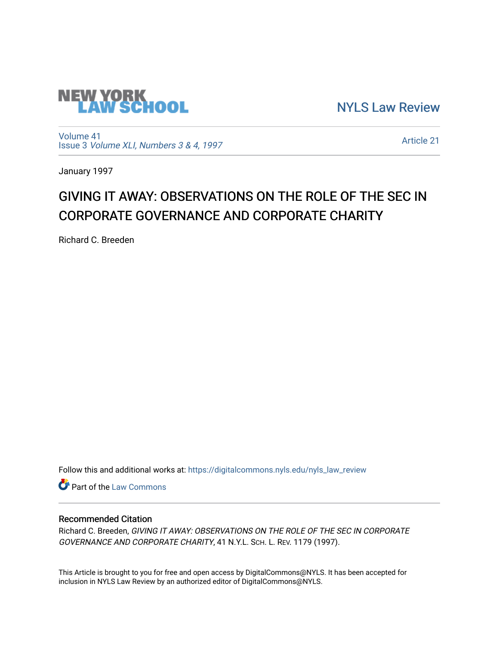

[NYLS Law Review](https://digitalcommons.nyls.edu/nyls_law_review) 

[Volume 41](https://digitalcommons.nyls.edu/nyls_law_review/vol41) Issue 3 [Volume XLI, Numbers 3 & 4, 1997](https://digitalcommons.nyls.edu/nyls_law_review/vol41/iss3)

[Article 21](https://digitalcommons.nyls.edu/nyls_law_review/vol41/iss3/21) 

January 1997

## GIVING IT AWAY: OBSERVATIONS ON THE ROLE OF THE SEC IN CORPORATE GOVERNANCE AND CORPORATE CHARITY

Richard C. Breeden

Follow this and additional works at: [https://digitalcommons.nyls.edu/nyls\\_law\\_review](https://digitalcommons.nyls.edu/nyls_law_review?utm_source=digitalcommons.nyls.edu%2Fnyls_law_review%2Fvol41%2Fiss3%2F21&utm_medium=PDF&utm_campaign=PDFCoverPages) 

**Part of the [Law Commons](https://network.bepress.com/hgg/discipline/578?utm_source=digitalcommons.nyls.edu%2Fnyls_law_review%2Fvol41%2Fiss3%2F21&utm_medium=PDF&utm_campaign=PDFCoverPages)** 

## Recommended Citation

Richard C. Breeden, GIVING IT AWAY: OBSERVATIONS ON THE ROLE OF THE SEC IN CORPORATE GOVERNANCE AND CORPORATE CHARITY, 41 N.Y.L. SCH. L. REV. 1179 (1997).

This Article is brought to you for free and open access by DigitalCommons@NYLS. It has been accepted for inclusion in NYLS Law Review by an authorized editor of DigitalCommons@NYLS.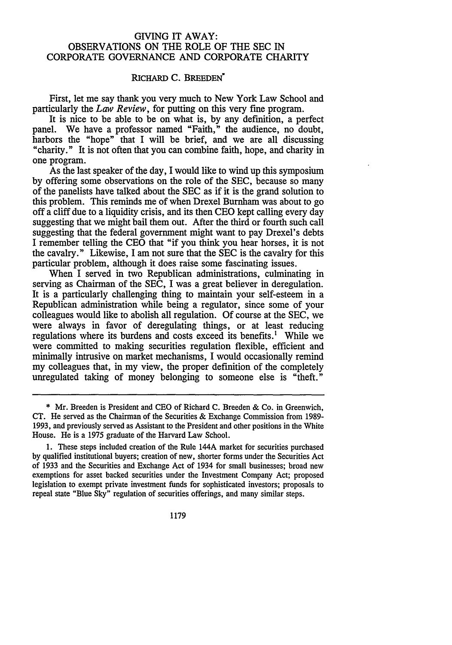## GIVING IT AWAY: OBSERVATIONS **ON** THE ROLE **OF** THE **SEC IN** CORPORATE **GOVERNANCE AND** CORPORATE CHARITY

## RICHARD C. BREEDEN<sup>\*</sup>

First, let me say thank you very much to New York Law School and particularly the *Law Review,* for putting on this very fine program.

It is nice to be able to be on what is, by any definition, a perfect panel. We have a professor named "Faith," the audience, no doubt, harbors the "hope" that I will be brief, and we are all discussing "charity." It is not often that you can combine faith, hope, and charity in one program.

As the last speaker of the day, I would like to wind up this symposium by offering some observations on the role of the SEC, because so many of the panelists have talked about the SEC as if it is the grand solution to this problem. This reminds me of when Drexel Burnham was about to go off a cliff due to a liquidity crisis, and its then CEO kept calling every day suggesting that we might bail them out. After the third or fourth such call suggesting that the federal government might want to pay Drexel's debts I remember telling the CEO that "if you think you hear horses, it is not the cavalry." Likewise, I am not sure that the SEC is the cavalry for this particular problem, although it does raise some fascinating issues.

When I served in two Republican administrations, culminating in serving as Chairman of the SEC, I was a great believer in deregulation. It is a particularly challenging thing to maintain your self-esteem in a Republican administration while being a regulator, since some of your colleagues would like to abolish all regulation. Of course at the SEC, we were always in favor of deregulating things, or at least reducing regulations where its burdens and costs exceed its benefits.' While we were committed to making securities regulation flexible, efficient and minimally intrusive on market mechanisms, I would occasionally remind my colleagues that, in my view, the proper definition of the completely unregulated taking of money belonging to someone else is "theft."

1179

<sup>\*</sup> Mr. Breeden is President and CEO of Richard **C.** Breeden & Co. in Greenwich, CT. He served as the Chairman of the Securities & Exchange Commission from 1989- 1993, and previously served as Assistant to the President and other positions in the White House. He is a 1975 graduate of the Harvard Law School.

<sup>1.</sup> These steps included creation of the Rule 144A market for securities purchased by qualified institutional buyers; creation of new, shorter forms under the Securities Act of 1933 and the Securities and Exchange Act of 1934 for small businesses; broad new exemptions for asset backed securities under the Investment Company Act; proposed legislation to exempt private investment funds for sophisticated investors; proposals to repeal state "Blue Sky" regulation of securities offerings, and many similar steps.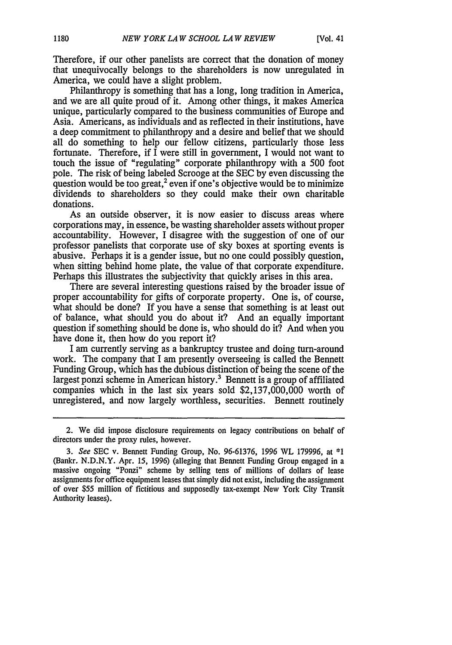Therefore, if our other panelists are correct that the donation of money that unequivocally belongs to the shareholders is now unregulated in America, we could have a slight problem.

Philanthropy is something that has a long, long tradition in America, and we are all quite proud of it. Among other things, it makes America unique, particularly compared to the business communities of Europe and Asia. Americans, as individuals and as reflected in their institutions, have a deep commitment to philanthropy and a desire and belief that we should all do something to help our fellow citizens, particularly those less fortunate. Therefore, if I were still in government, I would not want to touch the issue of "regulating" corporate philanthropy with a 500 foot pole. The risk of being labeled Scrooge at the SEC by even discussing the question would be too great,<sup>2</sup> even if one's objective would be to minimize dividends to shareholders so they could make their own charitable donations.

As an outside observer, it is now easier to discuss areas where corporations may, in essence, be wasting shareholder assets without proper accountability. However, I disagree with the suggestion of one of our professor panelists that corporate use of sky boxes at sporting events is abusive. Perhaps it is a gender issue, but no one could possibly question, when sitting behind home plate, the value of that corporate expenditure. Perhaps this illustrates the subjectivity that quickly arises in this area.

There are several interesting questions raised by the broader issue of proper accountability for gifts of corporate property. One is, of course, what should be done? If you have a sense that something is at least out of balance, what should you do about it? And an equally important question if something should be done is, who should do it? And when you have done it, then how do you report it?

I am currently serving as a bankruptcy trustee and doing turn-around work. The company that I am presently overseeing is called the Bennett Funding Group, which has the dubious distinction of being the scene of the largest ponzi scheme in American history.<sup>3</sup> Bennett is a group of affiliated companies which in the last six years sold \$2,137,000,000 worth of unregistered, and now largely worthless, securities. Bennett routinely

<sup>2.</sup> We did impose disclosure requirements on legacy contributions on behalf of directors under the proxy rules, however.

*<sup>3.</sup> See* SEC v. Bennett Funding Group, No. 96-61376, 1996 WL 179996, at \*1 (Bankr. N.D.N.Y. Apr. 15, 1996) (alleging that Bennett Funding Group engaged in a massive ongoing "Ponzi" scheme by selling tens of millions of dollars of lease assignments for office equipment leases that simply did not exist, including the assignment of over \$55 million of fictitious and supposedly tax-exempt New York City Transit Authority leases).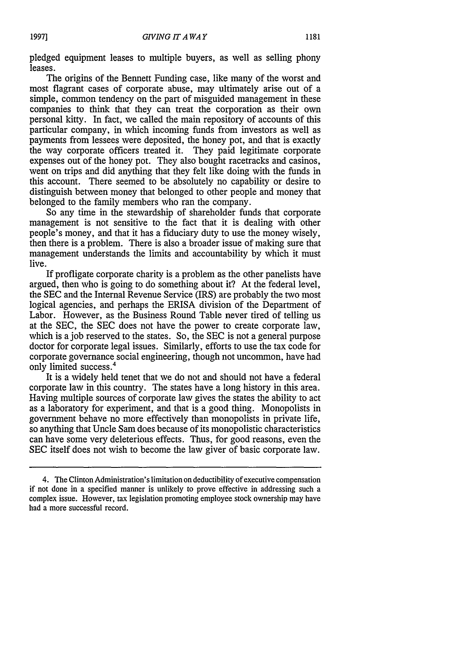pledged equipment leases to multiple buyers, as well as selling phony leases.

The origins of the Bennett Funding case, like many of the worst and most flagrant cases of corporate abuse, may ultimately arise out of a simple, common tendency on the part of misguided management in these companies to think that they can treat the corporation as their own personal kitty. In fact, we called the main repository of accounts of this particular company, in which incoming funds from investors as well as payments from lessees were deposited, the honey pot, and that is exactly the way corporate officers treated it. They paid legitimate corporate expenses out of the honey pot. They also bought racetracks and casinos, went on trips and did anything that they felt like doing with the funds in this account. There seemed to be absolutely no capability or desire to distinguish between money that belonged to other people and money that belonged to the family members who ran the company.

So any time in the stewardship of shareholder funds that corporate management is not sensitive to the fact that it is dealing with other people's money, and that it has a fiduciary duty to use the money wisely, then there is a problem. There is also a broader issue of making sure that management understands the limits and accountability by which it must live.

If profligate corporate charity is a problem as the other panelists have argued, then who is going to do something about it? At the federal level, the SEC and the Internal Revenue Service (IRS) are probably the two most logical agencies, and perhaps the ERISA division of the Department of Labor. However, as the Business Round Table never tired of telling us at the SEC, the SEC does not have the power to create corporate law, which is a job reserved to the states. So, the SEC is not a general purpose doctor for corporate legal issues. Similarly, efforts to use the tax code for corporate governance social engineering, though not uncommon, have had only limited success.<sup>4</sup>

It is a widely held tenet that we do not and should not have a federal corporate law in this country. The states have a long history in this area. Having multiple sources of corporate law gives the states the ability to act as a laboratory for experiment, and that is a good thing. Monopolists in government behave no more effectively than monopolists in private life, so anything that Uncle Sam does because of its monopolistic characteristics can have some very deleterious effects. Thus, for good reasons, even the SEC itself does not wish to become the law giver of basic corporate law.

<sup>4.</sup> The Clinton Administration's limitation on deductibility of executive compensation if not done in a specified manner is unlikely to prove effective in addressing such a complex issue. However, tax legislation promoting employee stock ownership may have had a more successful record.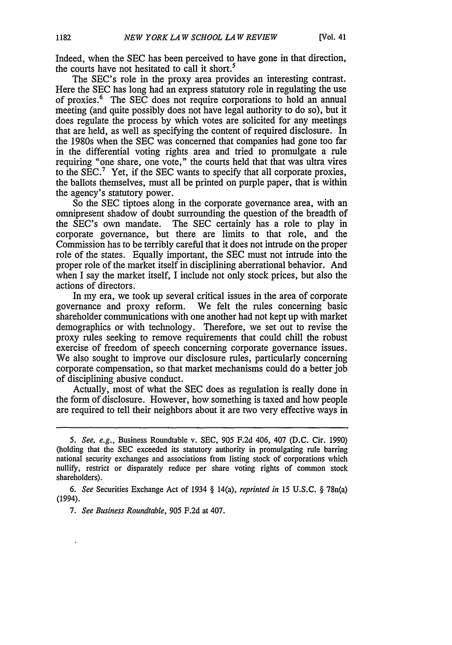Indeed, when the SEC has been perceived to have gone in that direction, the courts have not hesitated to call it short.<sup>5</sup>

The SEC's role in the proxy area provides an interesting contrast. Here the SEC has long had an express statutory role in regulating the use of proxies.' The SEC does not require corporations to hold an annual meeting (and quite possibly does not have legal authority to do so), but it does regulate the process by which votes are solicited for any meetings that are held, as well as specifying the content of required disclosure. In the 1980s when the SEC was concerned that companies had gone too far in the differential voting rights area and tried to promulgate a rule requiring "one share, one vote," the courts held that that was ultra vires to the SEC.<sup>7</sup> Yet, if the SEC wants to specify that all corporate proxies, the ballots themselves, must all be printed on purple paper, that is within the agency's statutory power.

So the SEC tiptoes along in the corporate governance area, with an omnipresent shadow of doubt surrounding the question of the breadth of the SEC's own mandate. The SEC certainly has a role to play in corporate governance, but there are limits to that role, and the Commission has to be terribly careful that it does not intrude on the proper role of the states. Equally important, the SEC must not intrude into the proper role of the market itself in disciplining aberrational behavior. And when I say the market itself, I include not only stock prices, but also the actions of directors.

In my era, we took up several critical issues in the area of corporate governance and proxy reform. We felt the rules concerning basic shareholder communications with one another had not kept up with market demographics or with technology. Therefore, we set out to revise the proxy rules seeking to remove requirements that could chill the robust exercise of freedom of speech concerning corporate governance issues. We also sought to improve our disclosure rules, particularly concerning corporate compensation, so that market mechanisms could do a better job of disciplining abusive conduct.

Actually, most of what the SEC does as regulation is really done in the form of disclosure. However, how something is taxed and how people are required to tell their neighbors about it are two very effective ways in

<sup>5.</sup> See, e.g., Business Roundtable v. SEC, 905 F.2d 406, 407 (D.C. Cir. 1990) (holding that the SEC exceeded its statutory authority in promulgating rule barring national security exchanges and associations from listing stock of corporations which nullify, restrict or disparately reduce per share voting rights of common stock shareholders).

*<sup>6.</sup> See* Securities Exchange Act of 1934 § 14(a), *reprinted in* 15 U.S.C. § 78n(a) (1994).

*<sup>7.</sup> See Business Roundtable,* 905 F.2d at 407.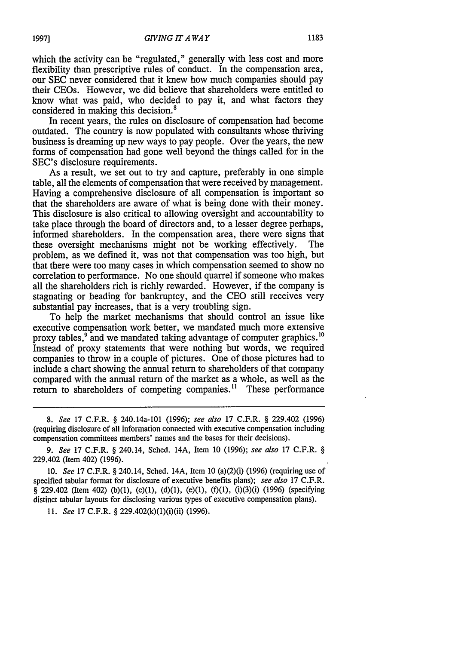which the activity can be "regulated," generally with less cost and more flexibility than prescriptive rules of conduct. In the compensation area, our SEC never considered that it knew how much companies should pay their CEOs. However, we did believe that shareholders were entitled to know what was paid, who decided to pay it, and what factors they considered in making this decision.<sup>8</sup>

In recent years, the rules on disclosure of compensation had become outdated. The country is now populated with consultants whose thriving business is dreaming up new ways to pay people. Over the years, the new forms of compensation had gone well beyond the things called for in the SEC's disclosure requirements.

As a result, we set out to try and capture, preferably in one simple table, all the elements of compensation that were received by management. Having a comprehensive disclosure of all compensation is important so that the shareholders are aware of what is being done with their money. This disclosure is also critical to allowing oversight and accountability to take place through the board of directors and, to a lesser degree perhaps, informed shareholders. In the compensation area, there were signs that these oversight mechanisms might not be working effectively. The problem, as we defined it, was not that compensation was too high, but that there were too many cases in which compensation seemed to show no correlation to performance. No one should quarrel if someone who makes all the shareholders rich is richly rewarded. However, if the company is stagnating or heading for bankruptcy, and the CEO still receives very substantial pay increases, that is a very troubling sign.

To help the market mechanisms that should control an issue like executive compensation work better, we mandated much more extensive proxy tables,<sup>9</sup> and we mandated taking advantage of computer graphics.<sup>10</sup> Instead of proxy statements that were nothing but words, we required companies to throw in a couple of pictures. One of those pictures had to include a chart showing the annual return to shareholders of that company compared with the annual return of the market as a whole, as well as the return to shareholders of competing companies.<sup>11</sup> These performance

*11. See* 17 C.F.R. § 229.402(k)(1)(i)(ii) (1996).

*<sup>8.</sup> See* 17 C.F.R. § 240.14a-101 (1996); see also 17 C.F.R. § 229.402 (1996) (requiring disclosure of all information connected with executive compensation including compensation committees members' names and the bases for their decisions).

*<sup>9.</sup> See* 17 C.F.R. § 240.14, Sched. 14A, Item 10 (1996); *see also* 17 C.F.R. § 229.402 (Item 402) (1996).

<sup>10.</sup> *See* 17 C.F.R. § 240.14, Sched. 14A, Item 10 (a)(2)(i) (1996) (requiring use of specified tabular format for disclosure of executive benefits plans); *see also* 17 C.F.R.  $\frac{8}{9}$  229.402 (Item 402) (b)(1), (c)(1), (d)(1), (e)(1), (f)(1), (i)(3)(i) (1996) (specifying distinct tabular layouts for disclosing various types of executive compensation plans).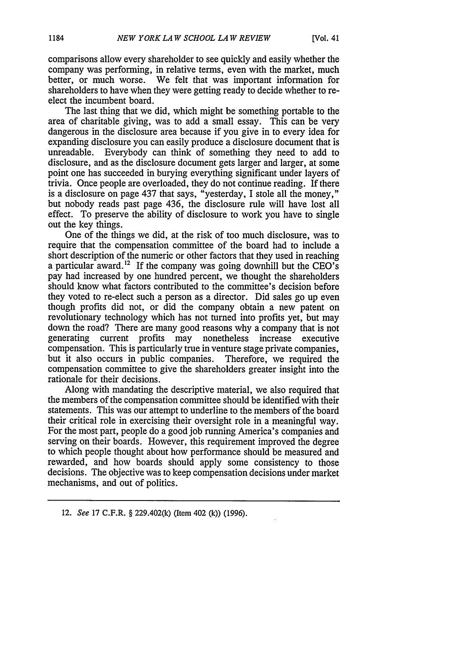comparisons allow every shareholder to see quickly and easily whether the company was performing, in relative terms, even with the market, much better, or much worse. We felt that was important information for shareholders to have when they were getting ready to decide whether to reelect the incumbent board.

The last thing that we did, which might be something portable to the area of charitable giving, was to add a small essay. This can be very dangerous in the disclosure area because if you give in to every idea for expanding disclosure you can easily produce a disclosure document that is unreadable. Everybody can think of something they need to add to disclosure, and as the disclosure document gets larger and larger, at some point one has succeeded in burying everything significant under layers of trivia. Once people are overloaded, they do not continue reading. If there is a disclosure on page 437 that says, "yesterday, I stole all the money," but nobody reads past page 436, the disclosure rule will have lost all effect. To preserve the ability of disclosure to work you have to single out the key things.

One of the things we did, at the risk of too much disclosure, was to require that the compensation committee of the board had to include a short description of the numeric or other factors that they used in reaching a particular award.<sup>12</sup> If the company was going downhill but the CEO's pay had increased by one hundred percent, we thought the shareholders should know what factors contributed to the committee's decision before they voted to re-elect such a person as a director. Did sales go up even though profits did not, or did the company obtain a new patent on revolutionary technology which has not turned into profits yet, but may down the road? There are many good reasons why a company that is not generating current profits may nonetheless increase executive compensation. This is particularly true in venture stage private companies, but it also occurs in public companies. Therefore, we required the compensation committee to give the shareholders greater insight into the rationale for their decisions.

Along with mandating the descriptive material, we also required that the members of the compensation committee should be identified with their statements. This was our attempt to underline to the members of the board their critical role in exercising their oversight role in a meaningful way. For the most part, people do a good job running America's companies and serving on their boards. However, this requirement improved the degree to which people thought about how performance should be measured and rewarded, and how boards should apply some consistency to those decisions. The objective was to keep compensation decisions under market mechanisms, and out of politics.

<sup>12.</sup> *See* **17** C.F.R. § 229.402(k) (Item 402 **(k)) (1996).**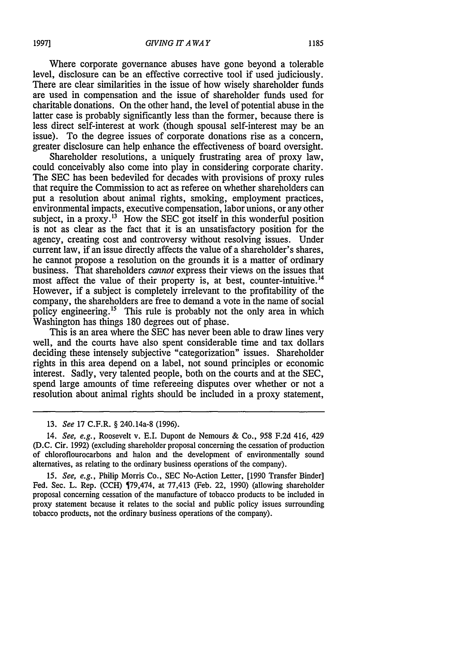Where corporate governance abuses have gone beyond a tolerable level, disclosure can be an effective corrective tool if used judiciously. There are clear similarities in the issue of how wisely shareholder funds are used in compensation and the issue of shareholder funds used for charitable donations. On the other hand, the level of potential abuse in the latter case is probably significantly less than the former, because there is less direct self-interest at work (though spousal self-interest may be an issue). To the degree issues of corporate donations rise as a concern, greater disclosure can help enhance the effectiveness of board oversight.

Shareholder resolutions, a uniquely frustrating area of proxy law, could conceivably also come into play in considering corporate charity. The SEC has been bedeviled for decades with provisions of proxy rules that require the Commission to act as referee on whether shareholders can put a resolution about animal rights, smoking, employment practices, environmental impacts, executive compensation, labor unions, or any other subject, in a proxy.<sup>13</sup> How the SEC got itself in this wonderful position is not as clear as the fact that it is an unsatisfactory position for the agency, creating cost and controversy without resolving issues. Under current law, if an issue directly affects the value of a shareholder's shares, he cannot propose a resolution on the grounds it is a matter of ordinary business. That shareholders *cannot* express their views on the issues that most affect the value of their property is, at best, counter-intuitive.<sup>14</sup> However, if a subject is completely irrelevant to the profitability of the company, the shareholders are free to demand a vote in the name of social policy engineering.<sup>15</sup> This rule is probably not the only area in which Washington has things 180 degrees out of phase.

This is an area where the SEC has never been able to draw lines very well, and the courts have also spent considerable time and tax dollars deciding these intensely subjective "categorization" issues. Shareholder rights in this area depend on a label, not sound principles or economic interest. Sadly, very talented people, both on the courts and at the SEC, spend large amounts of time refereeing disputes over whether or not a resolution about animal rights should be included in a proxy statement,

*15. See, e.g.,* Philip Morris Co., SEC No-Action Letter, [1990 Transfer Binder] Fed. Sec. L. Rep. (CCH) 79,474, at 77,413 (Feb. 22, 1990) (allowing shareholder proposal concerning cessation of the manufacture of tobacco products to be included in proxy statement because it relates to the social and public policy issues surrounding tobacco products, not the ordinary business operations of the company).

<sup>13.</sup> *See* 17 C.F.R. § 240.14a-8 (1996).

<sup>14.</sup> See, e.g., Roosevelt v. E.I. Dupont de Nemours & Co., 958 F.2d 416, 429 (D.C. Cir. 1992) (excluding shareholder proposal concerning the cessation of production of chloroflourocarbons and halon and the development of environmentally sound alternatives, as relating to the ordinary business operations of the company).